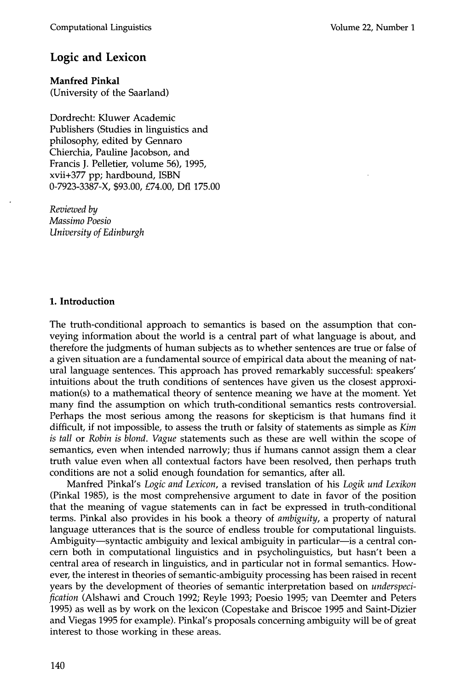# **Logic and Lexicon**

**Manfred Pinkal**  (University of the Saarland)

Dordrecht: Kluwer Academic Publishers (Studies in linguistics and philosophy, edited by Gennaro Chierchia, Pauline Jacobson, and Francis J. Pelletier, volume 56), 1995, xvii+377 pp; hardbound, ISBN 0-7923-3387-X, \$93.00, £74.00, Dfl 175.00

*Reviewed by Massimo Poesio University of Edinburgh* 

## **1. Introduction**

The truth-conditional approach to semantics is based on the assumption that conveying information about the world is a central part of what language is about, and therefore the judgments of human subjects as to whether sentences are true or false of a given situation are a fundamental source of empirical data about the meaning of natural language sentences. This approach has proved remarkably successful: speakers' intuitions about the truth conditions of sentences have given us the closest approximation(s) to a mathematical theory of sentence meaning we have at the moment. Yet many find the assumption on which truth-conditional semantics rests controversial. Perhaps the most serious among the reasons for skepticism is that humans find it difficult, if not impossible, to assess the truth or falsity of statements as simple as *Kim is tall* or *Robin is blond. Vague* statements such as these are well within the scope of semantics, even when intended narrowly; thus if humans cannot assign them a clear truth value even when all contextual factors have been resolved, then perhaps truth conditions are not a solid enough foundation for semantics, after all.

Manfred Pinkal's *Logic and Lexicon,* a revised translation of his *Logik und Lexikon*  (Pinkal 1985), is the most comprehensive argument to date in favor of the position that the meaning of vague statements can in fact be expressed in truth-conditional terms. Pinkal also provides in his book a theory of *ambiguity,* a property of natural language utterances that is the source of endless trouble for computational linguists. Ambiguity-syntactic ambiguity and lexical ambiguity in particular-is a central concern both in computational linguistics and in psycholinguistics, but hasn't been a central area of research in linguistics, and in particular not in formal semantics. However, the interest in theories of semantic-ambiguity processing has been raised in recent years by the development of theories of semantic interpretation based on *underspecification* (Alshawi and Crouch 1992; Reyle 1993; Poesio 1995; van Deemter and Peters 1995) as well as by work on the lexicon (Copestake and Briscoe 1995 and Saint-Dizier and Viegas 1995 for example). Pinkal's proposals concerning ambiguity will be of great interest to those working in these areas.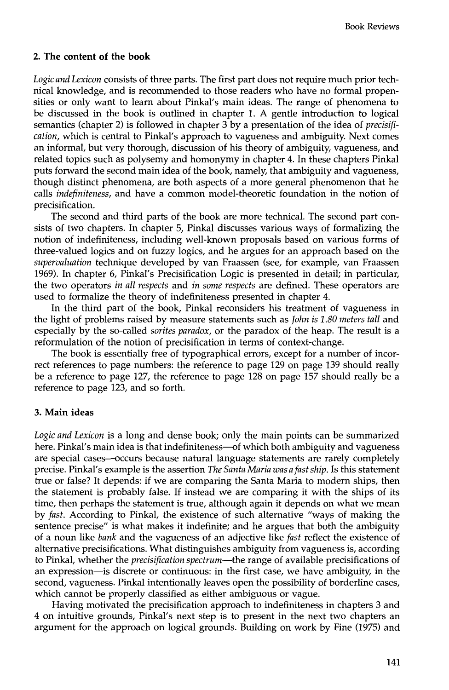### **2. The content of the book**

*Logic and Lexicon* consists of three parts. The first part does not require much prior technical knowledge, and is recommended to those readers who have no formal propensities or only want to learn about Pinkal's main ideas. The range of phenomena to be discussed in the book is outlined in chapter 1. A gentle introduction to logical semantics (chapter 2) is followed in chapter 3 by a presentation of the idea of *precisification,* which is central to Pinkal's approach to vagueness and ambiguity. Next comes an informal, but very thorough, discussion of his theory of ambiguity, vagueness, and related topics such as polysemy and homonymy in chapter 4. In these chapters Pinkal puts forward the second main idea of the book, namely, that ambiguity and vagueness, though distinct phenomena, are both aspects of a more general phenomenon that he calls *indefiniteness,* and have a common model-theoretic foundation in the notion of precisification.

The second and third parts of the book are more technical. The second part consists of two chapters. In chapter 5, Pinkal discusses various ways of formalizing the notion of indefiniteness, including well-known proposals based on various forms of three-valued logics and on fuzzy logics, and he argues for an approach based on the *supervaluation* technique developed by van Fraassen (see, for example, van Fraassen 1969). In chapter 6, Pinkal's Precisification Logic is presented in detail; in particular, the two operators *in all respects* and *in some respects* are defined. These operators are used to formalize the theory of indefiniteness presented in chapter 4.

In the third part of the book, Pinkal reconsiders his treatment of vagueness in the light of problems raised by measure statements such as *John is 1.80 meters tall* and especially by the so-called *sorites paradox,* or the paradox of the heap. The result is a reformulation of the notion of precisification in terms of context-change.

The book is essentially free of typographical errors, except for a number of incorrect references to page numbers: the reference to page 129 on page 139 should really be a reference to page 127, the reference to page 128 on page 157 should really be a reference to page 123, and so forth.

#### **3. Main ideas**

*Logic and Lexicon* is a long and dense book; only the main points can be summarized here. Pinkal's main idea is that indefiniteness-of which both ambiguity and vagueness are special cases--occurs because natural language statements are rarely completely precise. Pinkal's example is the assertion *The Santa Maria was a fast ship.* Is this statement true or false? It depends: if we are comparing the Santa Maria to modern ships, then the statement is probably false. If instead we are comparing it with the ships of its time, then perhaps the statement is true, although again it depends on what we mean by *fast.* According to Pinkal, the existence of such alternative "ways of making the sentence precise" is what makes it indefinite; and he argues that both the ambiguity of a noun like *bank* and the vagueness of an adjective like *fast* reflect the existence of alternative precisifications. What distinguishes ambiguity from vagueness is, according to Pinkal, whether the *precisification spectrum*—the range of available precisifications of an expression--is discrete or continuous: in the first case, we have ambiguity, in the second, vagueness. Pinkal intentionally leaves open the possibility of borderline cases, which cannot be properly classified as either ambiguous or vague.

Having motivated the precisification approach to indefiniteness in chapters 3 and 4 on intuitive grounds, Pinkal's next step is to present in the next two chapters an argument for the approach on logical grounds. Building on work by Fine (1975) and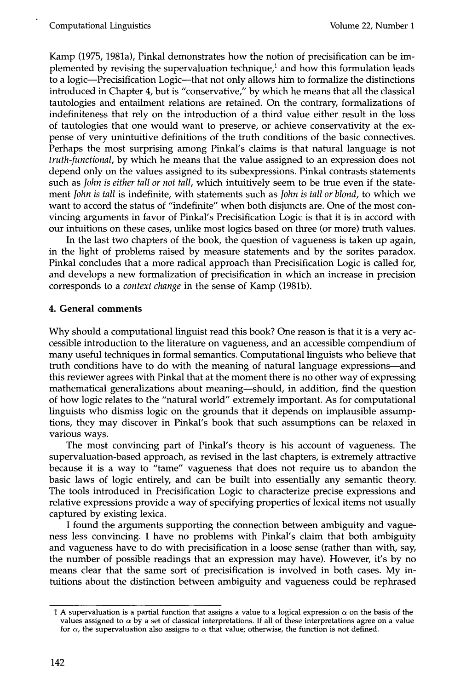Kamp (1975, 1981a), Pinkal demonstrates how the notion of precisification can be implemented by revising the supervaluation technique, $<sup>1</sup>$  and how this formulation leads</sup> to a logic--Precisification Logic--that not only allows him to formalize the distinctions introduced in Chapter 4, but is "conservative," by which he means that all the classical tautologies and entailment relations are retained. On the contrary, formalizations of indefiniteness that rely on the introduction of a third value either result in the loss of tautologies that one would want to preserve, or achieve conservativity at the expense of very unintuitive definitions of the truth conditions of the basic connectives. Perhaps the most surprising among Pinkal's claims is that natural language is not *truth-functional,* by which he means that the value assigned to an expression does not depend only on the values assigned to its subexpressions. Pinkal contrasts statements such as *John is either tall or not tall,* which intuitively seem to be true even if the statement *John is tall* is indefinite, with statements such as *John is tall or blond,* to which we want to accord the status of "indefinite" when both disjuncts are. One of the most convincing arguments in favor of Pinkal's Precisification Logic is that it is in accord with our intuitions on these cases, unlike most logics based on three (or more) truth values.

In the last two chapters of the book, the question of vagueness is taken up again, in the light of problems raised by measure statements and by the sorites paradox. Pinkal concludes that a more radical approach than Precisification Logic is called for, and develops a new formalization of precisification in which an increase in precision corresponds to a *context change* in the sense of Kamp (1981b).

### **4. General comments**

Why should a computational linguist read this book? One reason is that it is a very accessible introduction to the literature on vagueness, and an accessible compendium of many useful techniques in formal semantics. Computational linguists who believe that truth conditions have to do with the meaning of natural language expressions--and this reviewer agrees with Pinkal that at the moment there is no other way of expressing mathematical generalizations about meaning--should, in addition, find the question of how logic relates to the "natural world" extremely important. As for computational linguists who dismiss logic on the grounds that it depends on implausible assumptions, they may discover in Pinkal's book that such assumptions can be relaxed in various ways.

The most convincing part of Pinkal's theory is his account of vagueness. The supervaluation-based approach, as revised in the last chapters, is extremely attractive because it is a way to "tame" vagueness that does not require us to abandon the basic laws of logic entirely, and can be built into essentially any semantic theory. The tools introduced in Precisification Logic to characterize precise expressions and relative expressions provide a way of specifying properties of lexical items not usually captured by existing lexica.

I found the arguments supporting the connection between ambiguity and vagueness less convincing. I have no problems with Pinkal's claim that both ambiguity and vagueness have to do with precisification in a loose sense (rather than with, say, the number of possible readings that an expression may have). However, it's by no means clear that the same sort of precisification is involved in both cases. My intuitions about the distinction between ambiguity and vagueness could be rephrased

<sup>1</sup> A supervaluation is a partial function that assigns a value to a logical expression  $\alpha$  on the basis of the values assigned to  $\alpha$  by a set of classical interpretations. If all of these interpretations agree on a value for  $\alpha$ , the supervaluation also assigns to  $\alpha$  that value; otherwise, the function is not defined.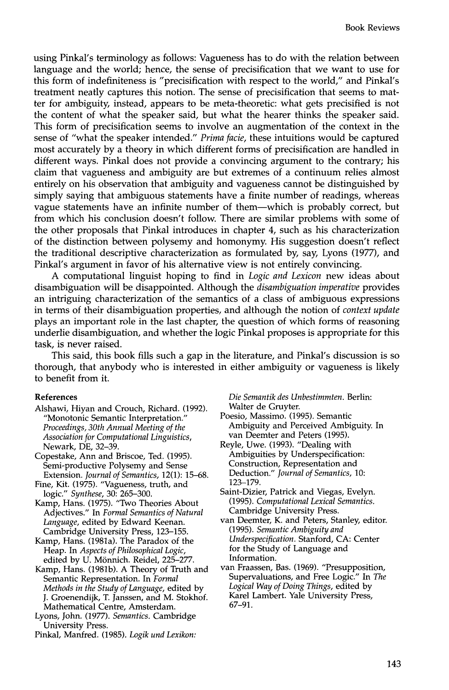using Pinkal's terminology as follows: Vagueness has to do with the relation between language and the world; hence, the sense of precisification that we want to use for this form of indefiniteness is "precisification with respect to the world," and Pinkal's treatment neatly captures this notion. The sense of precisification that seems to matter for ambiguity, instead, appears to be meta-theoretic: what gets precisified is not the content of what the speaker said, but what the hearer thinks the speaker said. This form of precisification seems to involve an augmentation of the context in the sense of "what the speaker intended." *Prima facie,* these intuitions would be captured most accurately by a theory in which different forms of precisification are handled in different ways. Pinkal does not provide a convincing argument to the contrary; his claim that vagueness and ambiguity are but extremes of a continuum relies almost entirely on his observation that ambiguity and vagueness cannot be distinguished by simply saying that ambiguous statements have a finite number of readings, whereas vague statements have an infinite number of them--which is probably correct, but from which his conclusion doesn't follow. There are similar problems with some of the other proposals that Pinkal introduces in chapter 4, such as his characterization of the distinction between polysemy and homonymy. His suggestion doesn't reflect the traditional descriptive characterization as formulated by, say, Lyons (1977), and Pinkal's argument in favor of his alternative view is not entirely convincing.

A computational linguist hoping to find in *Logic and Lexicon* new ideas about disambiguation will be disappointed. Although the *disambiguation imperative* provides an intriguing characterization of the semantics of a class of ambiguous expressions in terms of their disambiguation properties, and although the notion of *context update*  plays an important role in the last chapter, the question of which forms of reasoning underlie disambiguation, and whether the logic Pinkal proposes is appropriate for this task, is never raised.

This said, this book fills such a gap in the literature, and Pinkal's discussion is so thorough, that anybody who is interested in either ambiguity or vagueness is likely to benefit from it.

#### **References**

- Alshawi, Hiyan and Crouch, Richard. (1992). "Monotonic Semantic Interpretation." *Proceedings, 30th Annual Meeting of the Association for Computational Linguistics,*  Newark, DE, 32-39.
- Copestake, Ann and Briscoe, Ted. (1995). Semi-productive Polysemy and Sense Extension. *Journal of Semantics,* 12(1): 15-68.
- Fine, Kit. (1975). "Vagueness, truth, and logic." *Synthese,* 30: 265-300.
- Kamp, Hans. (1975). "Two Theories About Adjectives." In *Formal Semantics of Natural Language,* edited by Edward Keenan. Cambridge University Press, 123-155.
- Kamp, Hans. (1981a). The Paradox of the Heap. In *Aspects of Philosophical Logic,*  edited by U. Mönnich. Reidel, 225-277.
- Kamp, Hans. (1981b). A Theory of Truth and Semantic Representation. In *Formal Methods in the Study of Language,* edited by J. Groenendijk, T. Janssen, and M. Stokhof. Mathematical Centre, Amsterdam.
- Lyons, John. (1977). *Semantics.* Cambridge University Press.
- Pinkal, Manfred. (1985). *Logik und Lexikon:*

*Die Semantik des Unbestimmten.* Berlin: Walter de Gruyter.

- Poesio, Massimo. (1995). Semantic Ambiguity and Perceived Ambiguity. In van Deemter and Peters (1995).
- Reyle, Uwe. (1993). "Dealing with Ambiguities by Underspecification: Construction, Representation and Deduction." *Journal of Semantics,* 10: 123-179.
- Saint-Dizier, Patrick and Viegas, Evelyn. (1995). *Computational Lexical Semantics.*  Cambridge University Press.
- van Deemter, K. and Peters, Stanley, editor. (1995). *Semantic Ambiguity and Underspecification.* Stanford, CA: Center for the Study of Language and Information.
- van Fraassen, Bas. (1969). "Presupposition, Supervaluations, and Free Logic." In *The Logical Way of Doing Things,* edited by Karel Lambert. Yale University Press, 67-91.